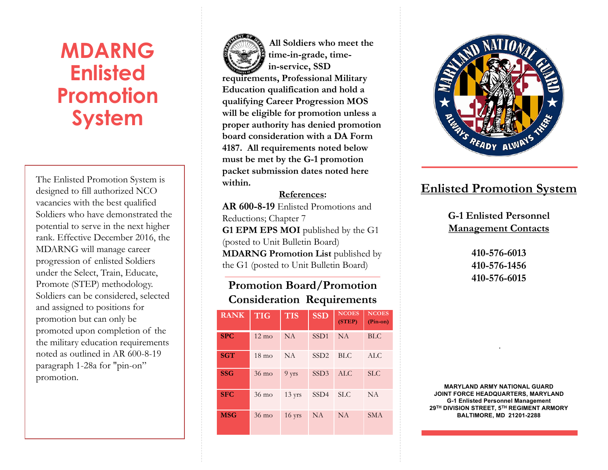# **MDARNG Enlisted Promotion System**

The Enlisted Promotion System is designed to fill authorized NCO vacancies with the best qualified Soldiers who have demonstrated the potential to serve in the next higher rank. Effective December 2016, the MDARNG will manage career progression of enlisted Soldiers under the Select, Train, Educate, Promote (STEP) methodology. Soldiers can be considered, selected and assigned to positions for promotion but can only be promoted upon completion of the the military education requirements noted as outlined in AR 600-8-19 paragraph 1-28a for "pin-on" promotion.

PLACE CONTINUES STAMP HERE **All Soldiers who meet the time-in-grade, timein-service, SSD requirements, Professional Military Education qualification and hold a qualifying Career Progression MOS will be eligible for promotion unless a proper authority has denied promotion board consideration with a DA Form 4187. All requirements noted below must be met by the G-1 promotion packet submission dates noted here within.**

**References: AR 600-8-19** Enlisted Promotions and Reductions; Chapter 7 G1 EPM EPS MOI published by the G1 (posted to Unit Bulletin Board) **MDARNG Promotion List** published by the G1 (posted to Unit Bulletin Board)

#### **Promotion Board/Promotion Consideration Requirements**

| <b>RANK</b> | <b>TIG</b>      | <b>TIS</b>       | <b>SSD</b>       | <b>NCOES</b><br>(STEP) | <b>NCOES</b><br>$(Pin-on)$ |
|-------------|-----------------|------------------|------------------|------------------------|----------------------------|
| <b>SPC</b>  | $12 \text{ mo}$ | <b>NA</b>        | SSD <sub>1</sub> | <b>NA</b>              | <b>BLC</b>                 |
| <b>SGT</b>  | $18 \text{ mo}$ | <b>NA</b>        | SSD <sub>2</sub> | <b>BLC</b>             | ALC                        |
| <b>SSG</b>  | $36 \text{ mo}$ | 9 yrs            | SSD <sub>3</sub> | <b>ALC</b>             | SLC                        |
| <b>SFC</b>  | $36 \text{ mo}$ | $13 \text{ yrs}$ | SSD <sub>4</sub> | <b>SLC</b>             | NA                         |
| <b>MSG</b>  | $36 \text{ mo}$ | $16$ yrs         | <b>NA</b>        | <b>NA</b>              | <b>SMA</b>                 |



#### **Enlisted Promotion System**

**G-1 Enlisted Personnel Management Contacts**

> **410-576-6013 410-576-1456 410-576-6015**

**MARYLAND ARMY NATIONAL GUARD JOINT FORCE HEADQUARTERS, MARYLAND G-1 Enlisted Personnel Management 29TH DIVISION STREET, 5TH REGIMENT ARMORY BALTIMORE, MD 21201-2288**